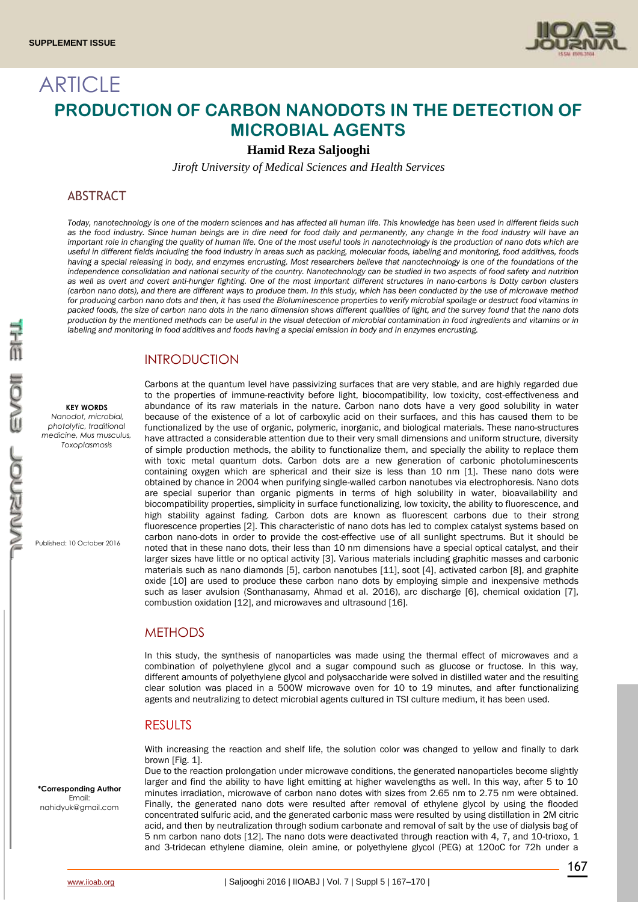

# **ARTICLE PRODUCTION OF CARBON NANODOTS IN THE DETECTION OF MICROBIAL AGENTS**

**Hamid Reza Saljooghi**

*Jiroft University of Medical Sciences and Health Services*

## **ABSTRACT**

*Today, nanotechnology is one of the modern sciences and has affected all human life. This knowledge has been used in different fields such*  as the food industry. Since human beings are in dire need for food daily and permanently, any change in the food industry will have an *important role in changing the quality of human life. One of the most useful tools in nanotechnology is the production of nano dots which are useful in different fields including the food industry in areas such as packing, molecular foods, labeling and monitoring, food additives, foods*  having a special releasing in body, and enzymes encrusting. Most researchers believe that nanotechnology is one of the foundations of the *independence consolidation and national security of the country. Nanotechnology can be studied in two aspects of food safety and nutrition as well as overt and covert anti-hunger fighting. One of the most important different structures in nano-carbons is Dotty carbon clusters (carbon nano dots), and there are different ways to produce them. In this study, which has been conducted by the use of microwave method for producing carbon nano dots and then, it has used the Bioluminescence properties to verify microbial spoilage or destruct food vitamins in packed foods, the size of carbon nano dots in the nano dimension shows different qualities of light, and the survey found that the nano dots production by the mentioned methods can be useful in the visual detection of microbial contamination in food ingredients and vitamins or in labeling and monitoring in food additives and foods having a special emission in body and in enzymes encrusting.*

# **INTRODUCTION**

#### **KEY WORDS**

*Nanodot, microbial, photolytic, traditional medicine, Mus musculus, Toxoplasmosis*

Published: 10 October 2016

Carbons at the quantum level have passivizing surfaces that are very stable, and are highly regarded due to the properties of immune-reactivity before light, biocompatibility, low toxicity, cost-effectiveness and abundance of its raw materials in the nature. Carbon nano dots have a very good solubility in water because of the existence of a lot of carboxylic acid on their surfaces, and this has caused them to be functionalized by the use of organic, polymeric, inorganic, and biological materials. These nano-structures have attracted a considerable attention due to their very small dimensions and uniform structure, diversity of simple production methods, the ability to functionalize them, and specially the ability to replace them with toxic metal quantum dots. Carbon dots are a new generation of carbonic photoluminescents containing oxygen which are spherical and their size is less than 10 nm [1]. These nano dots were obtained by chance in 2004 when purifying single-walled carbon nanotubes via electrophoresis. Nano dots are special superior than organic pigments in terms of high solubility in water, bioavailability and biocompatibility properties, simplicity in surface functionalizing, low toxicity, the ability to fluorescence, and high stability against fading. Carbon dots are known as fluorescent carbons due to their strong fluorescence properties [2]. This characteristic of nano dots has led to complex catalyst systems based on carbon nano-dots in order to provide the cost-effective use of all sunlight spectrums. But it should be noted that in these nano dots, their less than 10 nm dimensions have a special optical catalyst, and their larger sizes have little or no optical activity [3]. Various materials including graphitic masses and carbonic materials such as nano diamonds [5], carbon nanotubes [11], soot [4], activated carbon [8], and graphite oxide [10] are used to produce these carbon nano dots by employing simple and inexpensive methods such as laser avulsion (Sonthanasamy, Ahmad et al. 2016), arc discharge [6], chemical oxidation [7], combustion oxidation [12], and microwaves and ultrasound [16].

## **METHODS**

In this study, the synthesis of nanoparticles was made using the thermal effect of microwaves and a combination of polyethylene glycol and a sugar compound such as glucose or fructose. In this way, different amounts of polyethylene glycol and polysaccharide were solved in distilled water and the resulting clear solution was placed in a 500W microwave oven for 10 to 19 minutes, and after functionalizing agents and neutralizing to detect microbial agents cultured in TSI culture medium, it has been used.

## **RESULTS**

With increasing the reaction and shelf life, the solution color was changed to yellow and finally to dark brown [Fig. 1].

Due to the reaction prolongation under microwave conditions, the generated nanoparticles become slightly larger and find the ability to have light emitting at higher wavelengths as well. In this way, after 5 to 10 minutes irradiation, microwave of carbon nano dotes with sizes from 2.65 nm to 2.75 nm were obtained. Finally, the generated nano dots were resulted after removal of ethylene glycol by using the flooded concentrated sulfuric acid, and the generated carbonic mass were resulted by using distillation in 2M citric acid, and then by neutralization through sodium carbonate and removal of salt by the use of dialysis bag of 5 nm carbon nano dots [12]. The nano dots were deactivated through reaction with 4, 7, and 10-trioxo, 1 and 3-tridecan ethylene diamine, olein amine, or polyethylene glycol (PEG) at 120oC for 72h under a

**\*Corresponding Author** Email: nahidyuk@gmail.com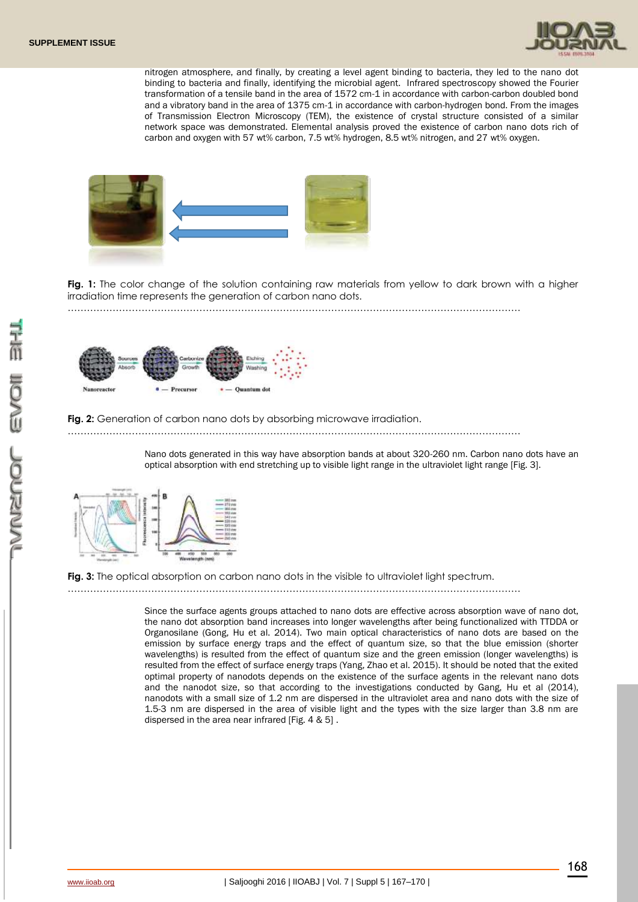

nitrogen atmosphere, and finally, by creating a level agent binding to bacteria, they led to the nano dot binding to bacteria and finally, identifying the microbial agent. Infrared spectroscopy showed the Fourier transformation of a tensile band in the area of 1572 cm-1 in accordance with carbon-carbon doubled bond and a vibratory band in the area of 1375 cm-1 in accordance with carbon-hydrogen bond. From the images of Transmission Electron Microscopy (TEM), the existence of crystal structure consisted of a similar network space was demonstrated. Elemental analysis proved the existence of carbon nano dots rich of carbon and oxygen with 57 wt% carbon, 7.5 wt% hydrogen, 8.5 wt% nitrogen, and 27 wt% oxygen.



**Fig. 1:** The color change of the solution containing raw materials from yellow to dark brown with a higher irradiation time represents the generation of carbon nano dots.

……………………………………………………………………………………………………………………………



#### Fig. 2: Generation of carbon nano dots by absorbing microwave irradiation.

……………………………………………………………………………………………………………………………

Nano dots generated in this way have absorption bands at about 320-260 nm. Carbon nano dots have an optical absorption with end stretching up to visible light range in the ultraviolet light range [Fig. 3].



**Fig. 3:** The optical absorption on carbon nano dots in the visible to ultraviolet light spectrum.

……………………………………………………………………………………………………………………………

Since the surface agents groups attached to nano dots are effective across absorption wave of nano dot, the nano dot absorption band increases into longer wavelengths after being functionalized with TTDDA or Organosilane (Gong, Hu et al. 2014). Two main optical characteristics of nano dots are based on the emission by surface energy traps and the effect of quantum size, so that the blue emission (shorter wavelengths) is resulted from the effect of quantum size and the green emission (longer wavelengths) is resulted from the effect of surface energy traps (Yang, Zhao et al. 2015). It should be noted that the exited optimal property of nanodots depends on the existence of the surface agents in the relevant nano dots and the nanodot size, so that according to the investigations conducted by Gang, Hu et al (2014), nanodots with a small size of 1.2 nm are dispersed in the ultraviolet area and nano dots with the size of 1.5-3 nm are dispersed in the area of visible light and the types with the size larger than 3.8 nm are dispersed in the area near infrared [Fig. 4 & 5] .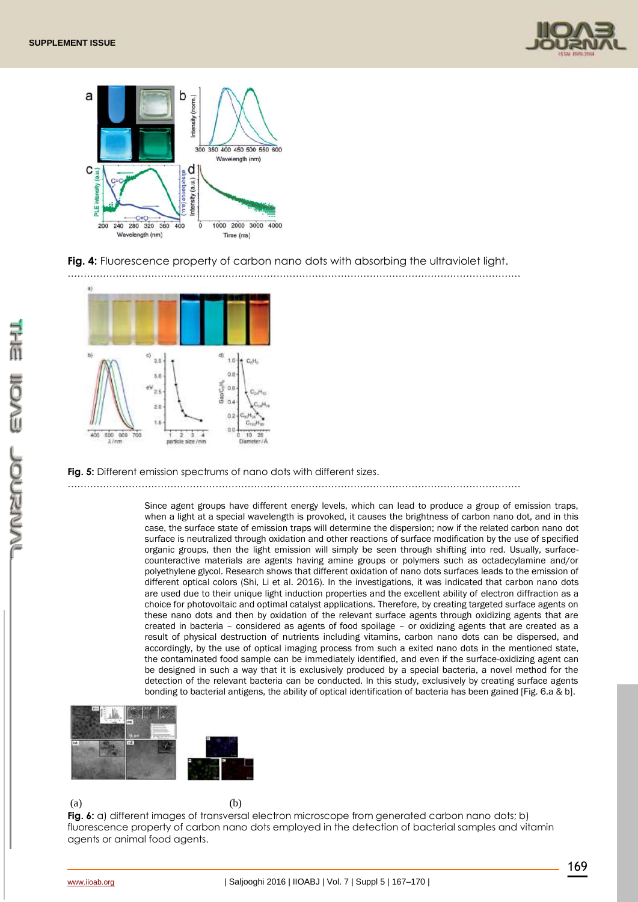



## **Fig. 4:** Fluorescence property of carbon nano dots with absorbing the ultraviolet light.



### **Fig. 5:** Different emission spectrums of nano dots with different sizes.

……………………………………………………………………………………………………………………………

Since agent groups have different energy levels, which can lead to produce a group of emission traps, when a light at a special wavelength is provoked, it causes the brightness of carbon nano dot, and in this case, the surface state of emission traps will determine the dispersion; now if the related carbon nano dot surface is neutralized through oxidation and other reactions of surface modification by the use of specified organic groups, then the light emission will simply be seen through shifting into red. Usually, surfacecounteractive materials are agents having amine groups or polymers such as octadecylamine and/or polyethylene glycol. Research shows that different oxidation of nano dots surfaces leads to the emission of different optical colors (Shi, Li et al. 2016). In the investigations, it was indicated that carbon nano dots are used due to their unique light induction properties and the excellent ability of electron diffraction as a choice for photovoltaic and optimal catalyst applications. Therefore, by creating targeted surface agents on these nano dots and then by oxidation of the relevant surface agents through oxidizing agents that are created in bacteria – considered as agents of food spoilage – or oxidizing agents that are created as a result of physical destruction of nutrients including vitamins, carbon nano dots can be dispersed, and accordingly, by the use of optical imaging process from such a exited nano dots in the mentioned state, the contaminated food sample can be immediately identified, and even if the surface-oxidizing agent can be designed in such a way that it is exclusively produced by a special bacteria, a novel method for the detection of the relevant bacteria can be conducted. In this study, exclusively by creating surface agents bonding to bacterial antigens, the ability of optical identification of bacteria has been gained [Fig. 6.a & b].



 $(a)$  (b)

**Fig. 6:** a) different images of transversal electron microscope from generated carbon nano dots; b) fluorescence property of carbon nano dots employed in the detection of bacterial samples and vitamin agents or animal food agents.